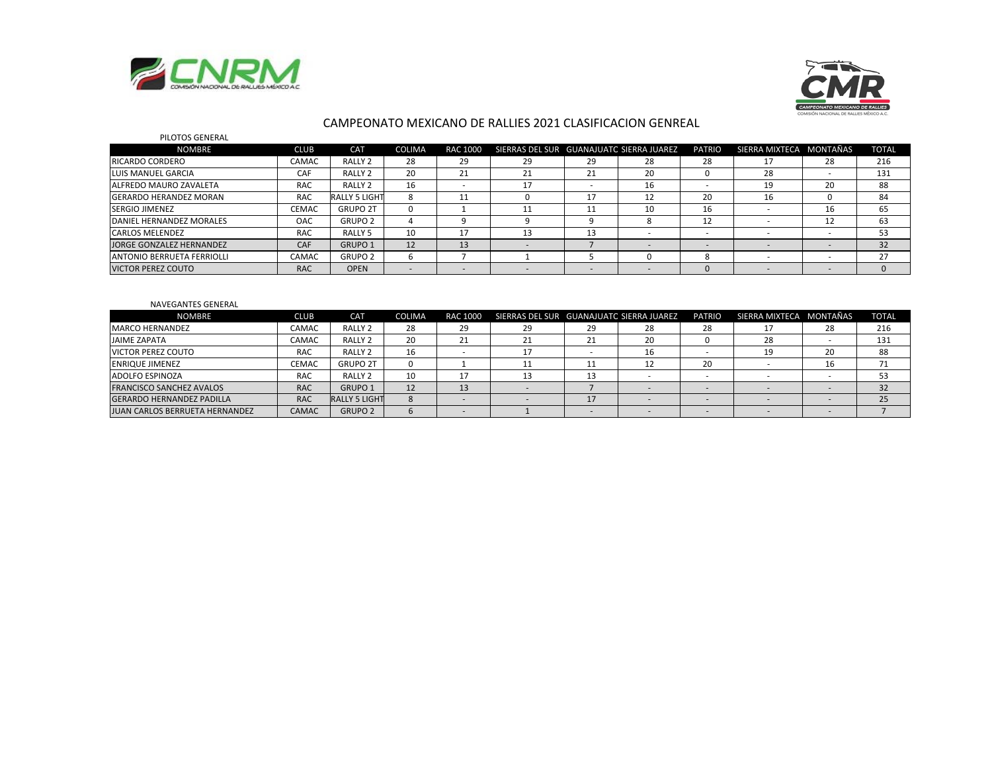



#### CAMPEONATO MEXICANO DE RALLIES 2021 CLASIFICACION GENREAL

| PILOTOS GENERAL               |              |                    |               |          |                                          |    |    |               |                         |    |              |
|-------------------------------|--------------|--------------------|---------------|----------|------------------------------------------|----|----|---------------|-------------------------|----|--------------|
| <b>NOMBRE</b>                 | CLUB         | CAT                | <b>COLIMA</b> | RAC 1000 | SIERRAS DEL SUR GUANAJUATO SIERRA JUAREZ |    |    | <b>PATRIO</b> | SIERRA MIXTECA MONTAÑAS |    | <b>TOTAL</b> |
| <b>IRICARDO CORDERO</b>       | CAMAC        | RALLY 2            | 28            | 29       | 29                                       | 29 | 28 | 28            | 17                      | 28 | 216          |
| <b>LUIS MANUEL GARCIA</b>     | CAF          | RALLY <sub>2</sub> | 20            | 21       | 21                                       | 21 | 20 | n             | 28                      |    | 131          |
| ALFREDO MAURO ZAVALETA        | RAC.         | RALLY <sub>2</sub> | 16            |          | 17                                       |    | 16 |               | 19                      | 20 | 88           |
| <b>GERARDO HERANDEZ MORAN</b> | <b>RAC</b>   | RALLY 5 LIGHT      |               |          |                                          |    | 12 | 20            | 16                      |    | 84           |
| <b>SERGIO JIMENEZ</b>         | <b>CEMAC</b> | <b>GRUPO 2T</b>    | $\Omega$      |          |                                          |    | 10 | 16            |                         | 16 | 65           |
| DANIEL HERNANDEZ MORALES      | OAC.         | <b>GRUPO 2</b>     |               |          |                                          |    | 8  | 12            |                         |    | 63           |
| <b>CARLOS MELENDEZ</b>        | RAC.         | RALLY <sub>5</sub> | 10            |          | 13                                       | 13 |    |               |                         |    | 53           |
| JORGE GONZALEZ HERNANDEZ      | CAF          | GRUPO 1            | 12            | 13       |                                          |    |    |               |                         |    | 32           |
| ANTONIO BERRUETA FERRIOLLI    | CAMAC        | GRUPO <sub>2</sub> |               |          |                                          |    | 0  | $\Omega$      |                         |    | 27           |
| <b>VICTOR PEREZ COUTO</b>     | <b>RAC</b>   | <b>OPEN</b>        |               |          |                                          |    |    | - O           |                         |    |              |

#### NAVEGANTES GENERAL

| <b>NOMBRE</b>                    | CLUB         | CAT                  | COLIMA | <b>RAC 1000</b> | SIERRAS DEL SUR GUANAJUATC SIERRA JUAREZ PATRIO |    |    |    | SIERRA MIXTECA MONTAÑAS |    | <b>TOTAL</b> |
|----------------------------------|--------------|----------------------|--------|-----------------|-------------------------------------------------|----|----|----|-------------------------|----|--------------|
| <b>MARCO HERNANDEZ</b>           | CAMAC        | RALLY <sub>2</sub>   | 28     | 29              | 29                                              | 29 | 28 | 28 |                         | Zŏ | 216          |
| <b>JAIME ZAPATA</b>              | CAMAC        | RALLY <sub>2</sub>   | 20     | 21              |                                                 | 21 | 20 |    | 28                      |    | 131          |
| <b>VICTOR PEREZ COUTO</b>        | <b>RAC</b>   | RALLY <sub>2</sub>   | 16     |                 |                                                 |    | 16 |    | 19                      |    | 88           |
| <b>ENRIQUE JIMENEZ</b>           | <b>CEMAC</b> | <b>GRUPO 2T</b>      |        |                 |                                                 |    | 12 | 20 |                         |    | 71           |
| ADOLFO ESPINOZA                  | <b>RAC</b>   | RALLY <sub>2</sub>   | 10     |                 |                                                 |    |    |    |                         |    |              |
| <b>FRANCISCO SANCHEZ AVALOS</b>  | <b>RAC</b>   | <b>GRUPO 1</b>       | 12     | 13              |                                                 |    |    |    |                         |    |              |
| <b>GERARDO HERNANDEZ PADILLA</b> | <b>RAC</b>   | <b>RALLY 5 LIGHT</b> |        |                 |                                                 |    |    |    |                         |    | 25           |
| JUAN CARLOS BERRUETA HERNANDEZ   | CAMAC        | <b>GRUPO 2</b>       |        |                 |                                                 |    |    |    |                         |    |              |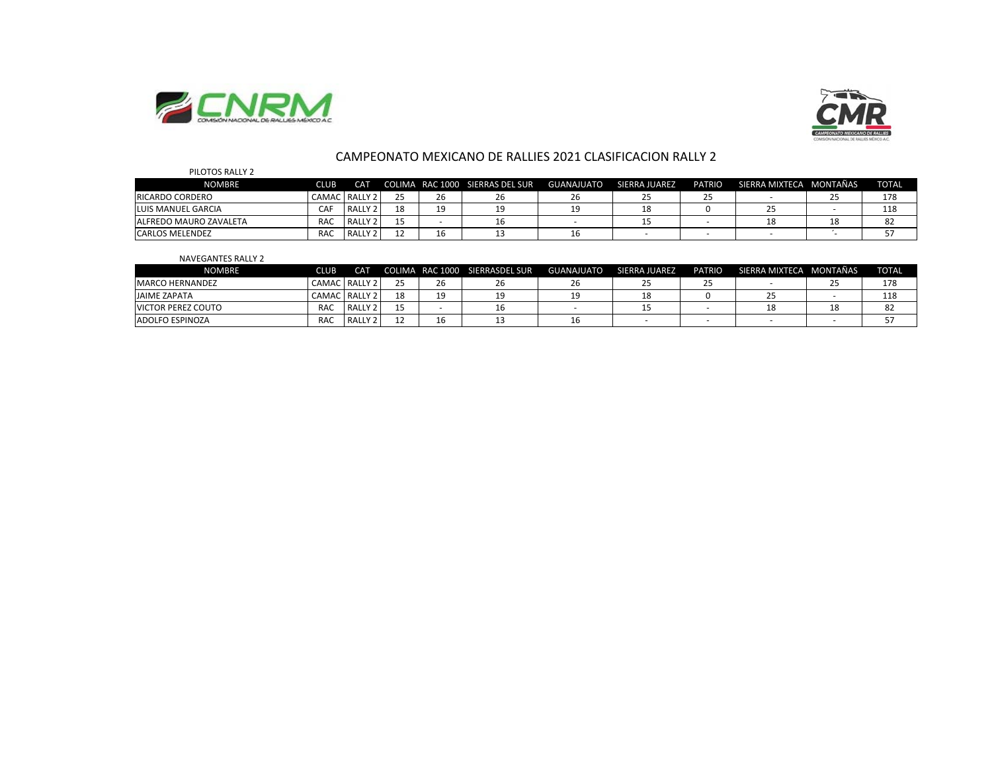



### CAMPEONATO MEXICANO DE RALLIES 2021 CLASIFICACION RALLY 2

| PILOTOS RALLY 2               |            |               |    |    |                                 |            |               |               |                         |          |              |
|-------------------------------|------------|---------------|----|----|---------------------------------|------------|---------------|---------------|-------------------------|----------|--------------|
| <b>NOMBRE</b>                 | CLUB       | CAT           |    |    | COLIMA RAC 1000 SIERRAS DEL SUR | GUANAJUATO | SIERRA JUAREZ | <b>PATRIO</b> | SIERRA MIXTECA MONTAÑAS |          | <b>TOTAL</b> |
| <b>RICARDO CORDERO</b>        |            | CAMAC RALLY 2 | 25 | 26 | 26                              | 26         |               | 25            |                         | <u>_</u> | 178          |
| <b>ILUIS MANUEL GARCIA</b>    | CAF        | RALLY 2       | 18 | 19 |                                 | 19         | 18            |               | 25                      |          | 118          |
| <b>ALFREDO MAURO ZAVALETA</b> | <b>RAC</b> | RALLY 2       |    |    | τo                              |            |               |               | 18                      |          | 82           |
| <b>CARLOS MELENDEZ</b>        | <b>RAC</b> | RALLY 2       | 12 | 16 |                                 | 16         |               |               |                         |          |              |

#### NAVEGANTES RALLY 2

| NOMBRE                    | <b>CLUB</b> | CAT.          |    |    | COLIMA RAC 1000 SIERRASDEL SUR | GUANAJUATO | SIERRA JUAREZ | <b>PATRIO</b> | SIERRA MIXTECA MONTAÑAS | <b>TOTAL</b> |
|---------------------------|-------------|---------------|----|----|--------------------------------|------------|---------------|---------------|-------------------------|--------------|
| <b>IMARCO HERNANDEZ</b>   |             | CAMAC RALLY 2 | っこ | 26 |                                | ۷b         |               | <u>_</u>      |                         | 178          |
| <b>JAIME ZAPATA</b>       |             | CAMAC RALLY 2 |    | 19 |                                |            |               |               |                         | 118          |
| <b>VICTOR PEREZ COUTO</b> | <b>RAC</b>  | RALLY 2       |    |    |                                |            |               |               |                         |              |
| <b>ADOLFO ESPINOZA</b>    | RAC         | RALLY 2       |    | 16 |                                | τp         |               |               |                         |              |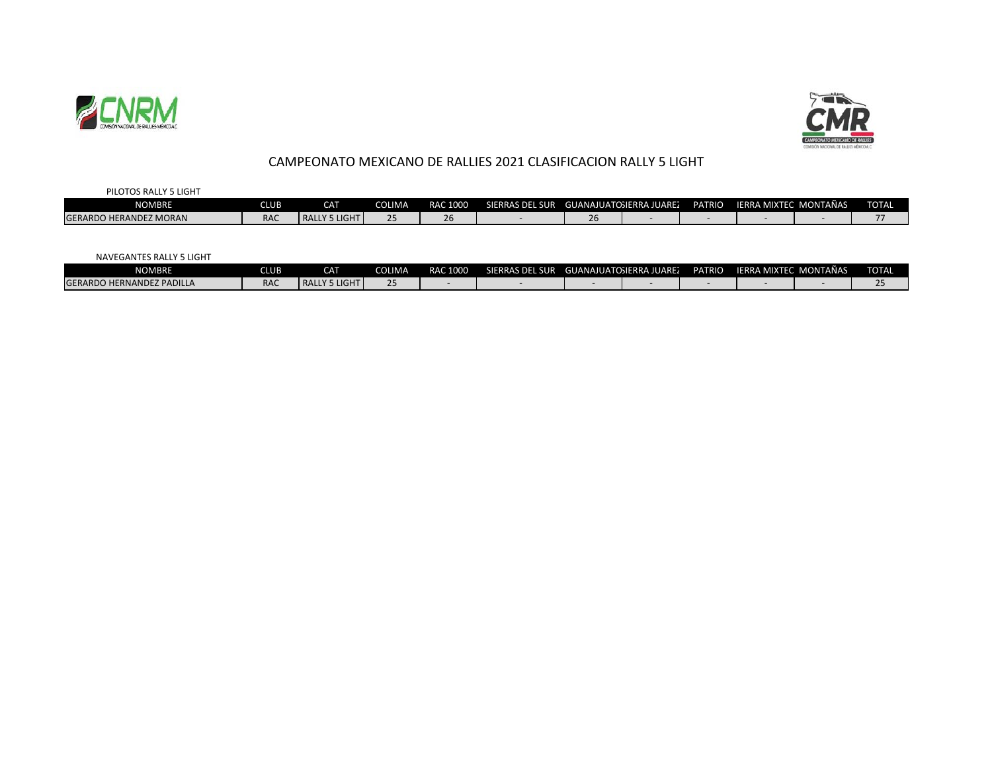



# CAMPEONATO MEXICANO DE RALLIES 2021 CLASIFICACION RALLY 5 LIGHT

| PILOTOS RALLY 5 LIGHT         |            |                               |               |          |                 |    |                         |               |                       |              |
|-------------------------------|------------|-------------------------------|---------------|----------|-----------------|----|-------------------------|---------------|-----------------------|--------------|
| <b>NOMBRE</b>                 | CLUB I     | CAT                           | <b>COLIMA</b> | RAC 1000 | SIERRAS DEL SUR |    | GUANAJUATOSIERRA JUAREZ | <b>PATRIO</b> | IERRA MIXTEC MONTAÑAS | <b>TOTAL</b> |
| <b>GERARDO HERANDEZ MORAN</b> | <b>RAC</b> | LLY 5 LIGHT <b>I</b><br>RALLY |               | 26       |                 | ۷o |                         |               |                       |              |

NAVEGANTES RALLY 5 LIGHT

| <b>NOMBRE</b>                    | <b>CLUB</b> | CAT                         | <b>COLIMA</b> | RAC 1000 | SIERRAS DEL SUR | GUANAJUATOSIERRA JUARE. | <b>PATRIO</b> | IERRA MIXTEC MONTAÑAS | <b>TOTAL</b> |
|----------------------------------|-------------|-----------------------------|---------------|----------|-----------------|-------------------------|---------------|-----------------------|--------------|
| <b>GERARDO HERNANDEZ PADILLA</b> | <b>RAC</b>  | LLY 5 LIGHT<br><b>RALLY</b> |               |          |                 |                         |               |                       |              |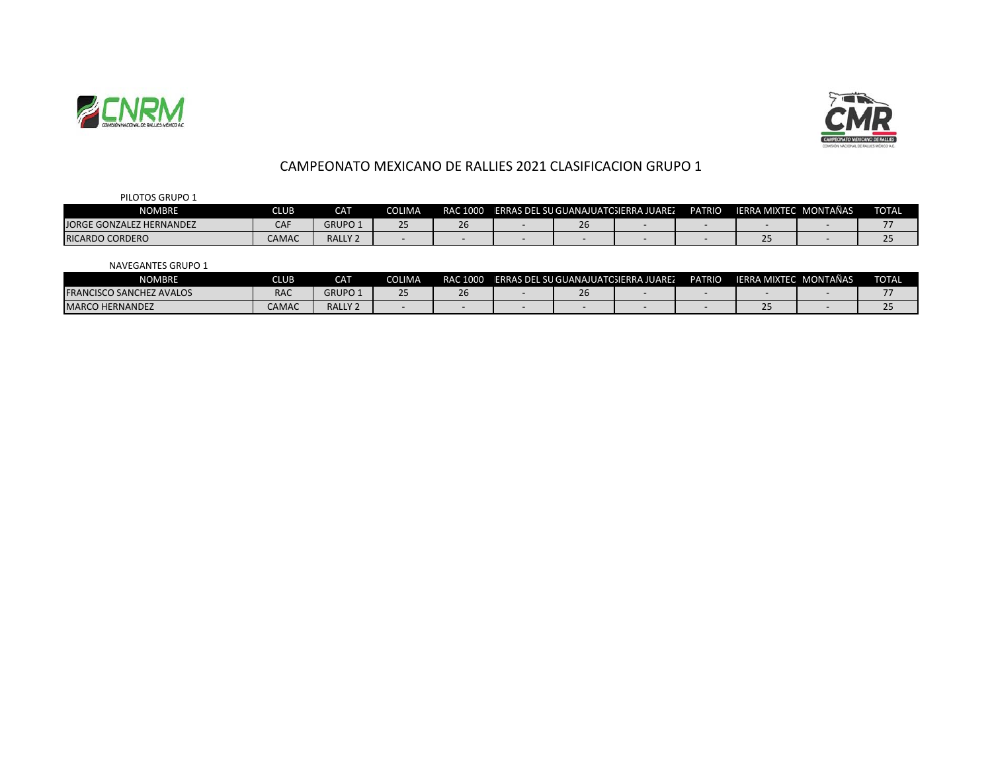



## CAMPEONATO MEXICANO DE RALLIES 2021 CLASIFICACION GRUPO 1

PILOTOS GRUPO 1

| NOMBRE                   | CLUB                               | CAT            | COLIMA | <b>RAC 1000</b> |               | <b>IERRAS DEL SU GUANAJUATOSIERRA JUAREZ</b> | <b>PATRIO</b> | IERRA MIXTEC, MONTAÑAS | <b>TOTAL</b> |
|--------------------------|------------------------------------|----------------|--------|-----------------|---------------|----------------------------------------------|---------------|------------------------|--------------|
| JORGE GONZALEZ HERNANDEZ | $\sim$ $\sim$ $\sim$<br><b>CAI</b> | <b>GRUPO</b>   |        |                 | $\sim$<br>ZD. |                                              |               |                        |              |
| <b>RICARDO CORDERO</b>   | CAMAC                              | <b>RALLY 2</b> |        |                 |               |                                              |               |                        |              |

NAVEGANTES GRUPO 1

| NOMBRE                          | CLUB <sup>'</sup>    | <b>CAT</b>         | COLIMA | RAC 1000 |    | <b>IERRAS DEL SU GUANAJUATOSIERRA JUAREZ</b> | <b>PATRIO</b> | IERRA MIXTEC, MONTAÑAS | <b>TOTAL</b> |
|---------------------------------|----------------------|--------------------|--------|----------|----|----------------------------------------------|---------------|------------------------|--------------|
| <b>FRANCISCO SANCHEZ AVALOS</b> | $D^{\Lambda}$<br>NAC | <b>GRUPO</b>       |        |          | ΖU |                                              |               |                        |              |
| <b>MARCO HERNANDEZ</b>          | <b>CAMAC</b>         | RALLY <sub>2</sub> |        |          |    |                                              |               | --                     |              |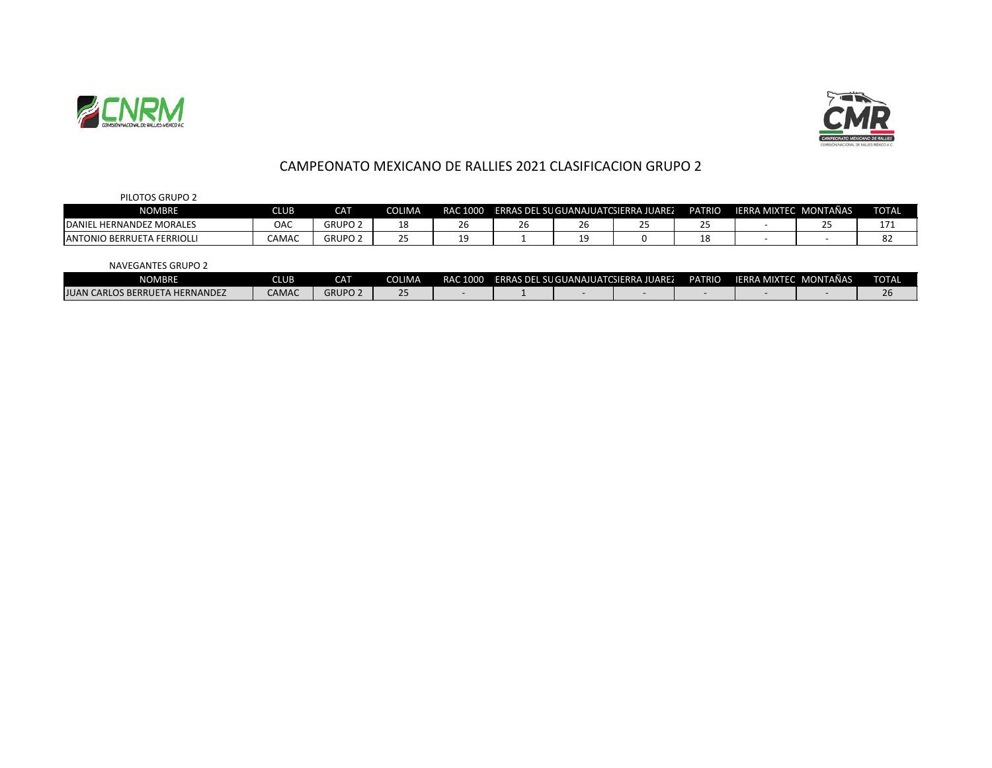



## CAMPEONATO MEXICANO DE RALLIES 2021 CLASIFICACION GRUPO 2

| PILOTOS GRUPO 2                   |             |                |                      |                     |    |              |                                               |                                        |                        |    |              |
|-----------------------------------|-------------|----------------|----------------------|---------------------|----|--------------|-----------------------------------------------|----------------------------------------|------------------------|----|--------------|
| <b>NOMBRE</b>                     | <b>CLUB</b> | <b>CAT</b>     | <b>COLIMA</b>        |                     |    |              | RAC 1000 ERRAS DEL SU GUANAJUATCSIERRA JUAREZ | <b>PATRIO</b>                          | IERRA MIXTEC, MONTAÑAS |    | <b>TOTAL</b> |
| DANIEL HERNANDEZ MORALES          | OAC         | <b>GRUPO 2</b> | 10<br>⊥໐             | $\sim$ $\sim$<br>۷b | 26 | $\sim$<br>۷b | $\sim$ $-$<br>ت                               | $\sim$ $-$<br>$\overline{\phantom{a}}$ |                        | ۔۔ |              |
| <b>ANTONIO BERRUETA FERRIOLLI</b> | CAMAC       | <b>GRUPO 2</b> | $\overline{ }$<br>__ |                     |    | 10<br>--     |                                               | 18                                     |                        |    | ٥z           |
|                                   |             |                |                      |                     |    |              |                                               |                                        |                        |    |              |

NAVEGANTES GRUPO 2

| <b>NOMBRE</b>                              | <b>CLUB</b> | <b>CAT</b>            | <b>IMA</b><br>$\sim$<br>J. | RAC 1000 |  | IERRAS DEL SU GUANAJUATCSIERRA JUAREZ | <b>PATRIO</b> | <b>IERRA MIXTEC N</b> | <b>MONTAÑAS</b> | <b>TOTAL</b> |
|--------------------------------------------|-------------|-----------------------|----------------------------|----------|--|---------------------------------------|---------------|-----------------------|-----------------|--------------|
| ETA HERNANDEZ<br>JUAN C<br>I CARLOS BERRUE | CAMAC       | <b>GRUPO</b><br>F O Z |                            |          |  |                                       |               |                       |                 | ′ ∪          |